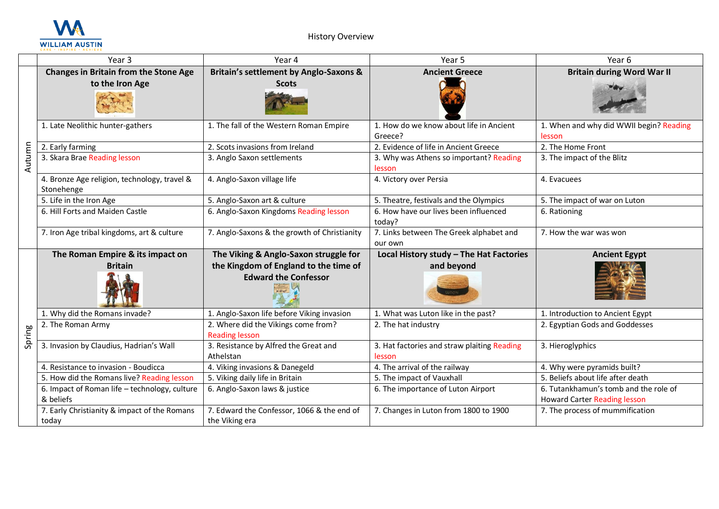

|        | Year 3                                                     | Year 4                                                               | Year 5                                                | Year 6                                                                       |
|--------|------------------------------------------------------------|----------------------------------------------------------------------|-------------------------------------------------------|------------------------------------------------------------------------------|
| Autumn | <b>Changes in Britain from the Stone Age</b>               | <b>Britain's settlement by Anglo-Saxons &amp;</b>                    | <b>Ancient Greece</b>                                 | <b>Britain during Word War II</b>                                            |
|        | to the Iron Age                                            | <b>Scots</b>                                                         |                                                       |                                                                              |
|        | 1. Late Neolithic hunter-gathers                           | 1. The fall of the Western Roman Empire                              | 1. How do we know about life in Ancient<br>Greece?    | 1. When and why did WWII begin? Reading<br>lesson                            |
|        | 2. Early farming                                           | 2. Scots invasions from Ireland                                      | 2. Evidence of life in Ancient Greece                 | 2. The Home Front                                                            |
|        | 3. Skara Brae Reading lesson                               | 3. Anglo Saxon settlements                                           | 3. Why was Athens so important? Reading<br>lesson     | 3. The impact of the Blitz                                                   |
|        | 4. Bronze Age religion, technology, travel &<br>Stonehenge | 4. Anglo-Saxon village life                                          | 4. Victory over Persia                                | 4. Evacuees                                                                  |
|        | 5. Life in the Iron Age                                    | 5. Anglo-Saxon art & culture                                         | 5. Theatre, festivals and the Olympics                | 5. The impact of war on Luton                                                |
|        | 6. Hill Forts and Maiden Castle                            | 6. Anglo-Saxon Kingdoms Reading lesson                               | 6. How have our lives been influenced<br>today?       | 6. Rationing                                                                 |
|        | 7. Iron Age tribal kingdoms, art & culture                 | 7. Anglo-Saxons & the growth of Christianity                         | 7. Links between The Greek alphabet and<br>our own    | 7. How the war was won                                                       |
|        | The Roman Empire & its impact on                           | The Viking & Anglo-Saxon struggle for                                | Local History study - The Hat Factories               | <b>Ancient Egypt</b>                                                         |
| Spring | <b>Britain</b>                                             | the Kingdom of England to the time of<br><b>Edward the Confessor</b> | and beyond                                            |                                                                              |
|        | 1. Why did the Romans invade?                              | 1. Anglo-Saxon life before Viking invasion                           | 1. What was Luton like in the past?                   | 1. Introduction to Ancient Egypt                                             |
|        | 2. The Roman Army                                          | 2. Where did the Vikings come from?<br><b>Reading lesson</b>         | 2. The hat industry                                   | 2. Egyptian Gods and Goddesses                                               |
|        | 3. Invasion by Claudius, Hadrian's Wall                    | 3. Resistance by Alfred the Great and<br>Athelstan                   | 3. Hat factories and straw plaiting Reading<br>lesson | 3. Hieroglyphics                                                             |
|        | 4. Resistance to invasion - Boudicca                       | 4. Viking invasions & Danegeld                                       | 4. The arrival of the railway                         | 4. Why were pyramids built?                                                  |
|        | 5. How did the Romans live? Reading lesson                 | 5. Viking daily life in Britain                                      | 5. The impact of Vauxhall                             | 5. Beliefs about life after death                                            |
|        | 6. Impact of Roman life - technology, culture<br>& beliefs | 6. Anglo-Saxon laws & justice                                        | 6. The importance of Luton Airport                    | 6. Tutankhamun's tomb and the role of<br><b>Howard Carter Reading lesson</b> |
|        | 7. Early Christianity & impact of the Romans<br>today      | 7. Edward the Confessor, 1066 & the end of<br>the Viking era         | 7. Changes in Luton from 1800 to 1900                 | 7. The process of mummification                                              |